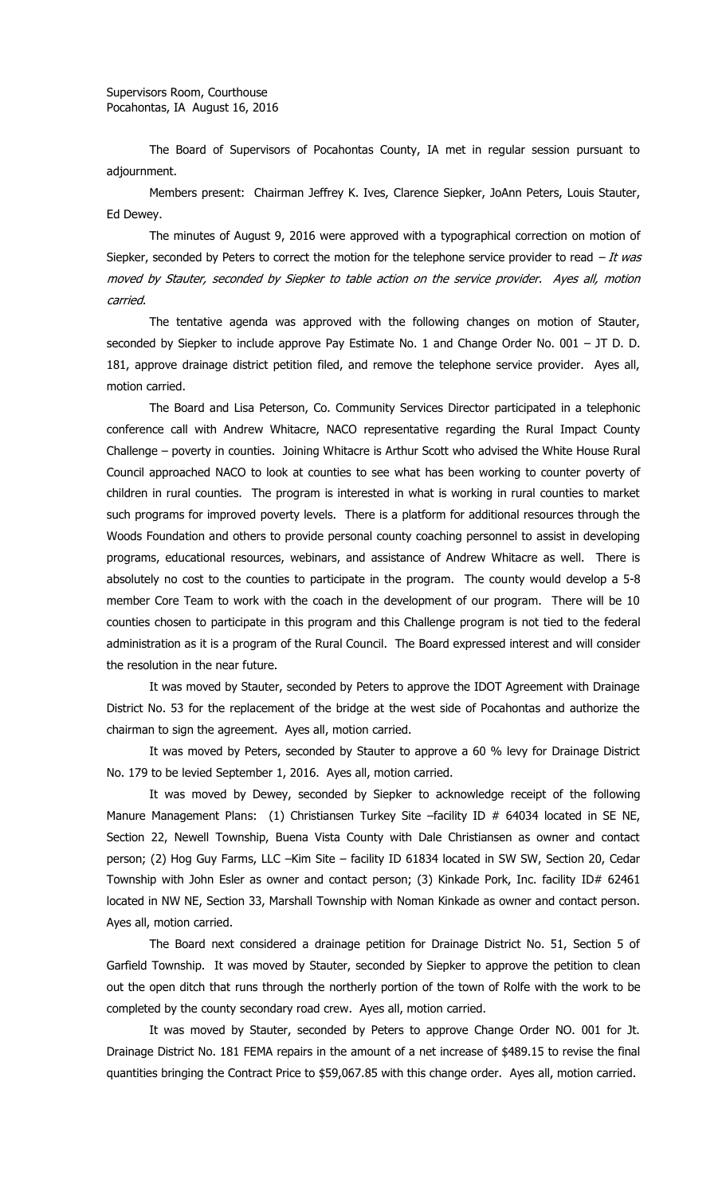The Board of Supervisors of Pocahontas County, IA met in regular session pursuant to adjournment.

Members present: Chairman Jeffrey K. Ives, Clarence Siepker, JoAnn Peters, Louis Stauter, Ed Dewey.

The minutes of August 9, 2016 were approved with a typographical correction on motion of Siepker, seconded by Peters to correct the motion for the telephone service provider to read  $-It$  was moved by Stauter, seconded by Siepker to table action on the service provider. Ayes all, motion carried.

The tentative agenda was approved with the following changes on motion of Stauter, seconded by Siepker to include approve Pay Estimate No. 1 and Change Order No. 001 - JT D. D. 181, approve drainage district petition filed, and remove the telephone service provider. Ayes all, motion carried.

The Board and Lisa Peterson, Co. Community Services Director participated in a telephonic conference call with Andrew Whitacre, NACO representative regarding the Rural Impact County Challenge – poverty in counties. Joining Whitacre is Arthur Scott who advised the White House Rural Council approached NACO to look at counties to see what has been working to counter poverty of children in rural counties. The program is interested in what is working in rural counties to market such programs for improved poverty levels. There is a platform for additional resources through the Woods Foundation and others to provide personal county coaching personnel to assist in developing programs, educational resources, webinars, and assistance of Andrew Whitacre as well. There is absolutely no cost to the counties to participate in the program. The county would develop a 5-8 member Core Team to work with the coach in the development of our program. There will be 10 counties chosen to participate in this program and this Challenge program is not tied to the federal administration as it is a program of the Rural Council. The Board expressed interest and will consider the resolution in the near future.

It was moved by Stauter, seconded by Peters to approve the IDOT Agreement with Drainage District No. 53 for the replacement of the bridge at the west side of Pocahontas and authorize the chairman to sign the agreement. Ayes all, motion carried.

It was moved by Peters, seconded by Stauter to approve a 60 % levy for Drainage District No. 179 to be levied September 1, 2016. Ayes all, motion carried.

It was moved by Dewey, seconded by Siepker to acknowledge receipt of the following Manure Management Plans: (1) Christiansen Turkey Site -facility ID # 64034 located in SE NE, Section 22, Newell Township, Buena Vista County with Dale Christiansen as owner and contact person; (2) Hog Guy Farms, LLC –Kim Site – facility ID 61834 located in SW SW, Section 20, Cedar Township with John Esler as owner and contact person; (3) Kinkade Pork, Inc. facility ID# 62461 located in NW NE, Section 33, Marshall Township with Noman Kinkade as owner and contact person. Ayes all, motion carried.

The Board next considered a drainage petition for Drainage District No. 51, Section 5 of Garfield Township. It was moved by Stauter, seconded by Siepker to approve the petition to clean out the open ditch that runs through the northerly portion of the town of Rolfe with the work to be completed by the county secondary road crew. Ayes all, motion carried.

It was moved by Stauter, seconded by Peters to approve Change Order NO. 001 for Jt. Drainage District No. 181 FEMA repairs in the amount of a net increase of \$489.15 to revise the final quantities bringing the Contract Price to \$59,067.85 with this change order. Ayes all, motion carried.